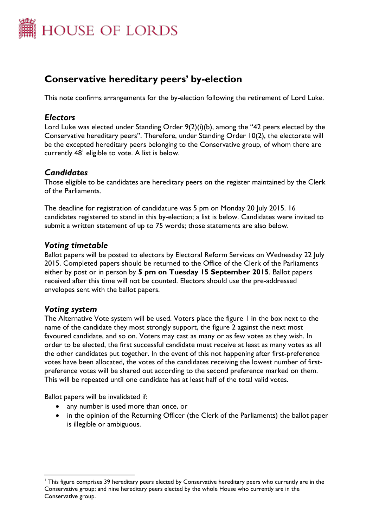

# **Conservative hereditary peers' by-election**

This note confirms arrangements for the by-election following the retirement of Lord Luke.

### *Electors*

Lord Luke was elected under Standing Order 9(2)(i)(b), among the "42 peers elected by the Conservative hereditary peers". Therefore, under Standing Order 10(2), the electorate will be the excepted hereditary peers belonging to the Conservative group, of whom there are currently  $48^{\scriptscriptstyle\mathsf{I}}$  eligible to vote. A list is below.

### *Candidates*

Those eligible to be candidates are hereditary peers on the register maintained by the Clerk of the Parliaments.

The deadline for registration of candidature was 5 pm on Monday 20 July 2015. 16 candidates registered to stand in this by-election; a list is below. Candidates were invited to submit a written statement of up to 75 words; those statements are also below.

### *Voting timetable*

Ballot papers will be posted to electors by Electoral Reform Services on Wednesday 22 July 2015. Completed papers should be returned to the Office of the Clerk of the Parliaments either by post or in person by **5 pm on Tuesday 15 September 2015**. Ballot papers received after this time will not be counted. Electors should use the pre-addressed envelopes sent with the ballot papers.

#### *Voting system*

 $\overline{a}$ 

The Alternative Vote system will be used. Voters place the figure 1 in the box next to the name of the candidate they most strongly support, the figure 2 against the next most favoured candidate, and so on. Voters may cast as many or as few votes as they wish. In order to be elected, the first successful candidate must receive at least as many votes as all the other candidates put together. In the event of this not happening after first-preference votes have been allocated, the votes of the candidates receiving the lowest number of firstpreference votes will be shared out according to the second preference marked on them. This will be repeated until one candidate has at least half of the total valid votes.

Ballot papers will be invalidated if:

- any number is used more than once, or
- in the opinion of the Returning Officer (the Clerk of the Parliaments) the ballot paper is illegible or ambiguous.

<sup>&</sup>lt;sup>1</sup> This figure comprises 39 hereditary peers elected by Conservative hereditary peers who currently are in the Conservative group; and nine hereditary peers elected by the whole House who currently are in the Conservative group.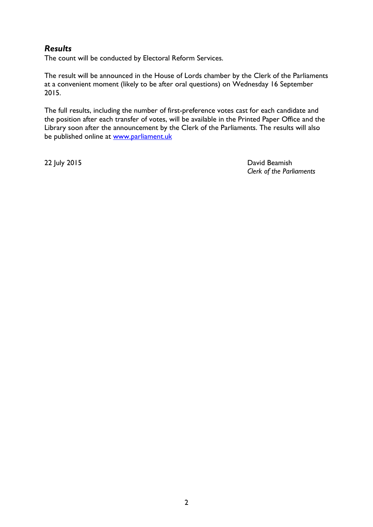## *Results*

The count will be conducted by Electoral Reform Services.

The result will be announced in the House of Lords chamber by the Clerk of the Parliaments at a convenient moment (likely to be after oral questions) on Wednesday 16 September 2015.

The full results, including the number of first-preference votes cast for each candidate and the position after each transfer of votes, will be available in the Printed Paper Office and the Library soon after the announcement by the Clerk of the Parliaments. The results will also be published online at [www.parliament.uk](http://www.parliament.uk/)

22 July 2015 David Beamish *Clerk of the Parliaments*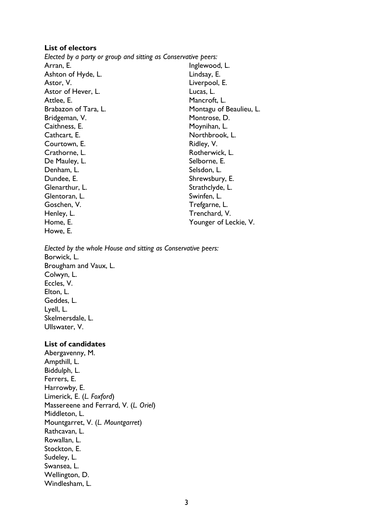#### **List of electors**

*Elected by a party or group and sitting as Conservative peers:* Arran, E. Ashton of Hyde, L. Astor, V. Astor of Hever, L. Attlee, E. Brabazon of Tara, L. Bridgeman, V. Caithness, E. Cathcart, E. Courtown, E. Crathorne, L. De Mauley, L. Denham, L. Dundee, E. Glenarthur, L. Glentoran, L. Goschen, V. Henley, L. Home, E. Howe, E. Inglewood, L. Lindsay, E. Liverpool, E. Lucas, L. Mancroft, L. Montagu of Beaulieu, L. Montrose, D. Moynihan, L. Northbrook, L. Ridley, V. Rotherwick, L. Selborne, E. Selsdon, L. Shrewsbury, E. Strathclyde, L. Swinfen, L. Trefgarne, L. Trenchard, V. Younger of Leckie, V.

*Elected by the whole House and sitting as Conservative peers:* Borwick, L. Brougham and Vaux, L. Colwyn, L. Eccles, V. Elton, L. Geddes, L.

Lyell, L. Skelmersdale, L. Ullswater, V.

#### **List of candidates**

Abergavenny, M. Ampthill, L. Biddulph, L. Ferrers, E. Harrowby, E. Limerick, E. (*L. Foxford*) Massereene and Ferrard, V. (*L. Oriel*) Middleton, L. Mountgarret, V. (*L. Mountgarret*) Rathcavan, L. Rowallan, L. Stockton, E. Sudeley, L. Swansea, L. Wellington, D. Windlesham, L.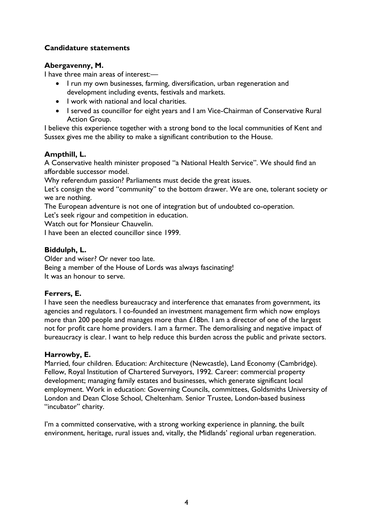#### **Candidature statements**

#### **Abergavenny, M.**

I have three main areas of interest:—

- I run my own businesses, farming, diversification, urban regeneration and development including events, festivals and markets.
- I work with national and local charities.
- I served as councillor for eight years and I am Vice-Chairman of Conservative Rural Action Group.

I believe this experience together with a strong bond to the local communities of Kent and Sussex gives me the ability to make a significant contribution to the House.

#### **Ampthill, L.**

A Conservative health minister proposed "a National Health Service". We should find an affordable successor model.

Why referendum passion? Parliaments must decide the great issues.

Let's consign the word "community" to the bottom drawer. We are one, tolerant society or we are nothing.

The European adventure is not one of integration but of undoubted co-operation.

Let's seek rigour and competition in education.

Watch out for Monsieur Chauvelin.

I have been an elected councillor since 1999.

#### **Biddulph, L.**

Older and wiser? Or never too late.

Being a member of the House of Lords was always fascinating! It was an honour to serve.

#### **Ferrers, E.**

I have seen the needless bureaucracy and interference that emanates from government, its agencies and regulators. I co-founded an investment management firm which now employs more than 200 people and manages more than £18bn. I am a director of one of the largest not for profit care home providers. I am a farmer. The demoralising and negative impact of bureaucracy is clear. I want to help reduce this burden across the public and private sectors.

#### **Harrowby, E.**

Married, four children. Education: Architecture (Newcastle), Land Economy (Cambridge). Fellow, Royal Institution of Chartered Surveyors, 1992. Career: commercial property development; managing family estates and businesses, which generate significant local employment. Work in education: Governing Councils, committees, Goldsmiths University of London and Dean Close School, Cheltenham. Senior Trustee, London-based business "incubator" charity.

I'm a committed conservative, with a strong working experience in planning, the built environment, heritage, rural issues and, vitally, the Midlands' regional urban regeneration.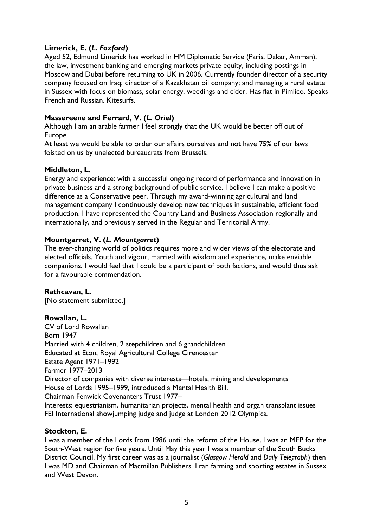#### **Limerick, E. (***L. Foxford***)**

Aged 52, Edmund Limerick has worked in HM Diplomatic Service (Paris, Dakar, Amman), the law, investment banking and emerging markets private equity, including postings in Moscow and Dubai before returning to UK in 2006. Currently founder director of a security company focused on Iraq; director of a Kazakhstan oil company; and managing a rural estate in Sussex with focus on biomass, solar energy, weddings and cider. Has flat in Pimlico. Speaks French and Russian. Kitesurfs.

#### **Massereene and Ferrard, V. (***L. Oriel***)**

Although I am an arable farmer I feel strongly that the UK would be better off out of Europe.

At least we would be able to order our affairs ourselves and not have 75% of our laws foisted on us by unelected bureaucrats from Brussels.

#### **Middleton, L.**

Energy and experience: with a successful ongoing record of performance and innovation in private business and a strong background of public service, I believe I can make a positive difference as a Conservative peer. Through my award-winning agricultural and land management company I continuously develop new techniques in sustainable, efficient food production. I have represented the Country Land and Business Association regionally and internationally, and previously served in the Regular and Territorial Army.

#### **Mountgarret, V. (***L. Mountgarret***)**

The ever-changing world of politics requires more and wider views of the electorate and elected officials. Youth and vigour, married with wisdom and experience, make enviable companions. I would feel that I could be a participant of both factions, and would thus ask for a favourable commendation.

### **Rathcavan, L.**

[No statement submitted.]

#### **Rowallan, L.**

CV of Lord Rowallan Born 1947 Married with 4 children, 2 stepchildren and 6 grandchildren Educated at Eton, Royal Agricultural College Cirencester Estate Agent 1971–1992 Farmer 1977–2013 Director of companies with diverse interests—hotels, mining and developments House of Lords 1995–1999, introduced a Mental Health Bill. Chairman Fenwick Covenanters Trust 1977– Interests: equestrianism, humanitarian projects, mental health and organ transplant issues FEI International showjumping judge and judge at London 2012 Olympics.

#### **Stockton, E.**

I was a member of the Lords from 1986 until the reform of the House. I was an MEP for the South-West region for five years. Until May this year I was a member of the South Bucks District Council. My first career was as a journalist (*Glasgow Herald* and *Daily Telegraph*) then I was MD and Chairman of Macmillan Publishers. I ran farming and sporting estates in Sussex and West Devon.